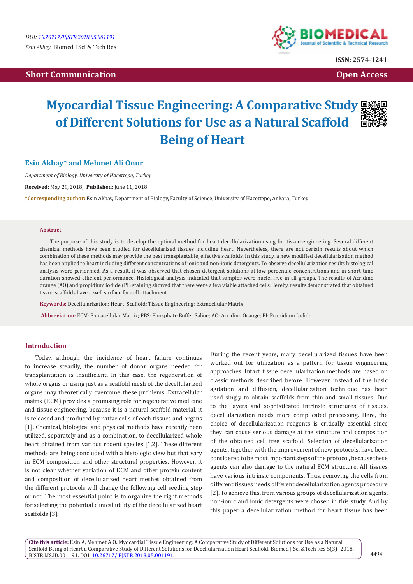# **Short Communication Communication Communication Communication Communication Communication Communication Communication**



**ISSN: 2574-1241**

# **Myocardial Tissue Engineering: A Comparative Study of Different Solutions for Use as a Natural Scaffold Being of Heart**

# **Esin Akbay\* and Mehmet Ali Onur**

*Department of Biology, University of Hacettepe, Turkey*

**Received:** May 29, 2018; **Published:** June 11, 2018

**\*Corresponding author:** Esin Akbay, Department of Biology, Faculty of Science, University of Hacettepe, Ankara, Turkey

#### **Abstract**

The purpose of this study is to develop the optimal method for heart decellularization using for tissue engineering. Several different chemical methods have been studied for decellularized tissues including heart. Nevertheless, there are not certain results about which combination of these methods may provide the best transplantable, effective scaffolds. In this study, a new modified decellularization method has been applied to heart including different concentrations of ionic and non-ionic detergents. To observe decellularization results histological analysis were performed. As a result, it was observed that chosen detergent solutions at low percentile concentrations and in short time duration showed efficient performance. Histological analysis indicated that samples were nuclei free in all groups. The results of Acridine orange (AO) and propidium iodide (PI) staining showed that there were a few viable attached cells.Hereby, results demonstrated that obtained tissue scaffolds have a well surface for cell attachment.

**Keywords:** Decellularization; Heart; Scaffold; Tissue Engineering; Extracellular Matrix

 **Abbreviation:** ECM: Extracellular Matrix; PBS: Phosphate Buffer Saline; AO: Acridine Orange; PI: Propidium Iodide

# **Introduction**

Today, although the incidence of heart failure continues to increase steadily, the number of donor organs needed for transplantation is insufficient. In this case, the regeneration of whole organs or using just as a scaffold mesh of the decellularized organs may theoretically overcome these problems. Extracellular matrix (ECM) provides a promising role for regenerative medicine and tissue engineering, because it is a natural scaffold material, it is released and produced by native cells of each tissues and organs [1]. Chemical, biological and physical methods have recently been utilized, separately and as a combination, to decellularized whole heart obtained from various rodent species [1,2]. These different methods are being concluded with a histologic view but that vary in ECM composition and other structural properties. However, it is not clear whether variation of ECM and other protein content and composition of decellularized heart meshes obtained from the different protocols will change the following cell seeding step or not. The most essential point is to organize the right methods for selecting the potential clinical utility of the decellularized heart scaffolds [3].

During the recent years, many decellularized tissues have been worked out for utilization as a pattern for tissue engineering approaches. Intact tissue decellularization methods are based on classic methods described before. However, instead of the basic agitation and diffusion, decellularization technique has been used singly to obtain scaffolds from thin and small tissues. Due to the layers and sophisticated intrinsic structures of tissues, decellularization needs more complicated processing. Here, the choice of decellularization reagents is critically essential since they can cause serious damage at the structure and composition of the obtained cell free scaffold. Selection of decellularization agents, together with the improvement of new protocols, have been considered to be most important steps of the protocol, because these agents can also damage to the natural ECM structure. All tissues have various intrinsic components. Thus, removing the cells from different tissues needs different decellularization agents procedure [2]. To achieve this, from various groups of decellularization agents, non-ionic and ionic detergents were chosen in this study. And by this paper a decellularization method for heart tissue has been

**Cite this article:** Esin A, Mehmet A O**.** Myocardial Tissue Engineering: A Comparative Study of Different Solutions for Use as a Natural Scaffold Being of Heart a Comparative Study of Different Solutions for Decellularization Heart Scaffold. Biomed J Sci &Tech Res 5(3)- 2018. BJSTR.MS.ID.001191. DOI: [10.26717/ BJSTR.2018.05.001191](http://dx.doi.org/10.26717/BJSTR.2018.05.001191).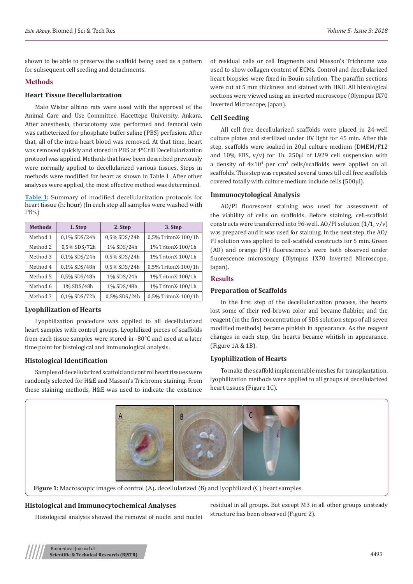shown to be able to preserve the scaffold being used as a pattern for subsequent cell seeding and detachments.

# **Methods**

## **Heart Tissue Decellularization**

Male Wistar albino rats were used with the approval of the Animal Care and Use Committee, Hacettepe University, Ankara. After anesthesia, thoracotomy was performed and femoral vein was catheterized for phosphate buffer saline (PBS) perfusion. After that, all of the intra-heart blood was removed. At that time, heart was removed quickly and stored in PBS at 4°C till Decellularization protocol was applied. Methods that have been described previously were normally applied to decellularized various tissues. Steps in methods were modified for heart as shown in Table 1. After other analyses were applied, the most effective method was determined.

**Table 1:** Summary of modified decellularization protocols for heart tissue (h: hour) (In each step all samples were washed with PBS.)

| <b>Methods</b> | 1. Step      | 2. Step      | 3. Step             |
|----------------|--------------|--------------|---------------------|
| Method 1       | 0,1% SDS/24h | 0,5% SDS/24h | 0,5% TritonX-100/1h |
| Method 2       | 0,5% SDS/72h | 1% SDS/24h   | 1% TritonX-100/1h   |
| Method 3       | 0,1% SDS/24h | 0,5% SDS/24h | 1% TritonX-100/1h   |
| Method 4       | 0,1% SDS/48h | 0,5% SDS/24h | 0,5% TritonX-100/1h |
| Method 5       | 0,5% SDS/48h | 1% SDS/24h   | 1% TritonX-100/1h   |
| Method 6       | 1% SDS/48h   | 1% SDS/48h   | 1% TritonX-100/1h   |
| Method 7       | 0,1% SDS/72h | 0,5% SDS/24h | 0,5% TritonX-100/1h |

# **Lyophilization of Hearts**

Lyophilization procedure was applied to all decellularized heart samples with control groups. Lyophilized pieces of scaffolds from each tissue samples were stored in -80°C and used at a later time point for histological and immunological analysis.

# **Histological Identification**

Samples of decellularized scaffold and control heart tissues were randomly selected for H&E and Masson's Trichrome staining. From these staining methods, H&E was used to indicate the existence

of residual cells or cell fragments and Masson's Trichrome was used to show collagen content of ECMs. Control and decellularized heart biopsies were fixed in Bouin solution. The paraffin sections were cut at 5 mm thickness and stained with H&E. All histological sections were viewed using an inverted microscope (Olympus IX70 Inverted Microscope, Japan).

#### **Cell Seeding**

All cell free decellularized scaffolds were placed in 24-well culture plates and sterilized under UV light for 45 min. After this step, scaffolds were soaked in 20µl culture medium (DMEM/F12 and  $10\%$  FBS,  $v/v$ ) for 1h. 250 $\mu$ l of L929 cell suspension with a density of  $4\times10^4$  per cm<sup>2</sup> cells/scaffolds were applied on all scaffolds. This step was repeated several times till cell free scaffolds covered totally with culture medium include cells (500µl).

# **Immunocytological Analysis**

AO/PI fluorescent staining was used for assessment of the viability of cells on scaffolds. Before staining, cell-scaffold constructs were transferred into 96-well. AO/PI solution (1/1, v/v) was prepared and it was used for staining. In the next step, the AO/ PI solution was applied to cell-scaffold constructs for 5 min. Green (AO) and orange (PI) fluorescence's were both observed under fluorescence microscopy (Olympus IX70 Inverted Microscope, Japan).

#### **Results**

#### **Preparation of Scaffolds**

In the first step of the decellularization process, the hearts lost some of their red-brown color and became flabbier, and the reagent (in the first concentration of SDS solution steps of all seven modified methods) became pinkish in appearance. As the reagent changes in each step, the hearts became whitish in appearance. (Figure 1A & 1B).

#### **Lyophilization of Hearts**

To make the scaffold implementable meshes for transplantation, lyophilization methods were applied to all groups of decellularized heart tissues (Figure 1C).



**Figure 1:** Macroscopic images of control (A), decellularized (B) and lyophilized (C) heart samples.

## **Histological and Immunocytochemical Analyses**

Histological analysis showed the removal of nuclei and nuclei

residual in all groups. But except M3 in all other groups unsteady structure has been observed (Figure 2).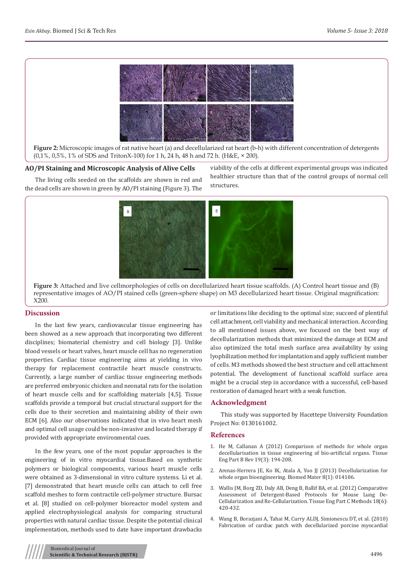

**Figure 2:** Microscopic images of rat native heart (a) and decellularized rat heart (b-h) with different concentration of detergents (0,1%, 0,5%, 1% of SDS and TritonX-100) for 1 h, 24 h, 48 h and 72 h. (H&E, × 200).

#### **AO/PI Staining and Microscopic Analysis of Alive Cells**

The living cells seeded on the scaffolds are shown in red and the dead cells are shown in green by AO/PI staining (Figure 3). The viability of the cells at different experimental groups was indicated healthier structure than that of the control groups of normal cell structures.



**Figure 3:** Attached and live cellmorphologies of cells on decellularized heart tissue scaffolds. (A) Control heart tissue and (B) representative images of AO/PI stained cells (green-sphere shape) on M3 decellularized heart tissue. Original magnification: X200.

#### **Discussion**

In the last few years, cardiovascular tissue engineering has been showed as a new approach that incorporating two different disciplines; biomaterial chemistry and cell biology [3]. Unlike blood vessels or heart valves, heart muscle cell has no regeneration properties. Cardiac tissue engineering aims at yielding in vivo therapy for replacement contractile heart muscle constructs. Currently, a large number of cardiac tissue engineering methods are preferred embryonic chicken and neonatal rats for the isolation of heart muscle cells and for scaffolding materials [4,5]. Tissue scaffolds provide a temporal but crucial structural support for the cells due to their secretion and maintaining ability of their own ECM [6]. Also our observations indicated that in vivo heart mesh and optimal cell usage could be non-invasive and located therapy if provided with appropriate environmental cues.

In the few years, one of the most popular approaches is the engineering of in vitro myocardial tissue.Based on synthetic polymers or biological components, various heart muscle cells were obtained as 3-dimensional in vitro culture systems. Li et al. [7] demonstrated that heart muscle cells can attach to cell free scaffold meshes to form contractile cell-polymer structure. Bursac et al. [8] studied on cell-polymer bioreactor model system and applied electrophysiological analysis for comparing structural properties with natural cardiac tissue. Despite the potential clinical implementation, methods used to date have important drawbacks

or limitations like deciding to the optimal size; succeed of plentiful cell attachment, cell viability and mechanical interaction. According to all mentioned issues above, we focused on the best way of decellularization methods that minimized the damage at ECM and also optimized the total mesh surface area availability by using lyophilization method for implantation and apply sufficient number of cells. M3 methods showed the best structure and cell attachment potential. The development of functional scaffold surface area might be a crucial step in accordance with a successful, cell-based restoration of damaged heart with a weak function.

#### **Acknowledgment**

This study was supported by Hacettepe University Foundation Project No: 0130161002.

#### **References**

- 1. [He M, Callanan A \(2012\) Comparison of methods for whole organ](https://www.ncbi.nlm.nih.gov/pubmed/23083305) [decellularisation in tissue engineering of bio-artificial organs. Tissue](https://www.ncbi.nlm.nih.gov/pubmed/23083305) [Eng Part B Rev 19\(3\): 194-208.](https://www.ncbi.nlm.nih.gov/pubmed/23083305)
- 2. [Arenas-Herrera JE, Ko IK, Atala A, Yoo JJ \(2013\) Decellularization for](https://www.ncbi.nlm.nih.gov/pubmed/23353764) [whole organ bioengineering. Biomed Mater 8\(1\): 014106.](https://www.ncbi.nlm.nih.gov/pubmed/23353764)
- 3. [Wallis JM, Borg ZD, Daly AB, Deng B, Ballif BA, et al. \(2012\) Comparative](https://www.ncbi.nlm.nih.gov/pubmed/22165818) [Assessment of Detergent-Based Protocols for Mouse Lung De-](https://www.ncbi.nlm.nih.gov/pubmed/22165818)[Cellularization and Re-Cellularization. Tissue Eng Part C Methods 18\(6\):](https://www.ncbi.nlm.nih.gov/pubmed/22165818) [420-432.](https://www.ncbi.nlm.nih.gov/pubmed/22165818)
- 4. [Wang B, Borazjani A, Tahai M, Curry ALDJ, Simionescu DT, et al. \(2010\)](https://www.ncbi.nlm.nih.gov/pubmed/20694977) [Fabrication of cardiac patch with decellularized porcine myocardial](https://www.ncbi.nlm.nih.gov/pubmed/20694977)